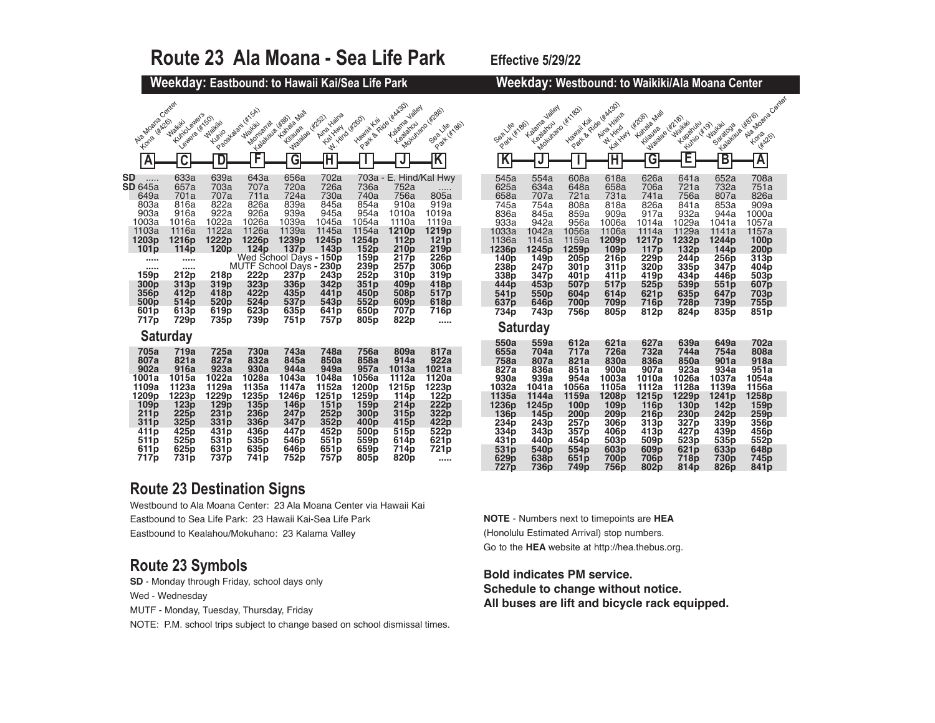| Route 23 Ala Moana - Sea Life Park                                                                                                                       |                                                                                                                                 |                                                                                                                         |                                                                                                                                                    |                                                                                                                                                               |                                                                                                                                                 |                                                                                                                                             |                                                                                                                                                                       | Effective 5/29/22                                                                                                                |                                                                                                                                             |                                                                                                                                 |                                                                                                                                 |                                                                                                                                 |                                                                                                                                                         |                                                                                                                                        |                                                                                                                                 |                                                                                                 |
|----------------------------------------------------------------------------------------------------------------------------------------------------------|---------------------------------------------------------------------------------------------------------------------------------|-------------------------------------------------------------------------------------------------------------------------|----------------------------------------------------------------------------------------------------------------------------------------------------|---------------------------------------------------------------------------------------------------------------------------------------------------------------|-------------------------------------------------------------------------------------------------------------------------------------------------|---------------------------------------------------------------------------------------------------------------------------------------------|-----------------------------------------------------------------------------------------------------------------------------------------------------------------------|----------------------------------------------------------------------------------------------------------------------------------|---------------------------------------------------------------------------------------------------------------------------------------------|---------------------------------------------------------------------------------------------------------------------------------|---------------------------------------------------------------------------------------------------------------------------------|---------------------------------------------------------------------------------------------------------------------------------|---------------------------------------------------------------------------------------------------------------------------------------------------------|----------------------------------------------------------------------------------------------------------------------------------------|---------------------------------------------------------------------------------------------------------------------------------|-------------------------------------------------------------------------------------------------|
|                                                                                                                                                          |                                                                                                                                 |                                                                                                                         | Weekday: Eastbound: to Hawaii Kai/Sea Life Park                                                                                                    |                                                                                                                                                               |                                                                                                                                                 |                                                                                                                                             |                                                                                                                                                                       |                                                                                                                                  |                                                                                                                                             |                                                                                                                                 |                                                                                                                                 |                                                                                                                                 |                                                                                                                                                         |                                                                                                                                        | Weekday: Westbound: to Waikiki/Ala Moana Center                                                                                 |                                                                                                 |
| Aig Moana Center<br>Kone (#426)                                                                                                                          | Kuniol ewers<br>lewers (#150)<br>Waikiki                                                                                        | Waikiki<br>Kunio                                                                                                        | Pagakalant (st SA)<br>Monseita ligas                                                                                                               | Kanala Mall<br>Majalas H252<br>Kilauea                                                                                                                        | Aina Haina<br>W. Hird W2601<br><b>Kal Yuny</b>                                                                                                  | <b>Hawaii Kai</b>                                                                                                                           | Part & Ride (Kalago)<br>Kalarra Jalley<br>Kealahou                                                                                                                    | Mokumano (Kzgeb)<br>Seartkettago                                                                                                 | Park (#186)<br>Sealite                                                                                                                      | Kalana Jalley<br>Kealahou                                                                                                       | Modulato ( Kristos)<br><b>Hawaii Kai</b>                                                                                        | Part & Fide ( HAA20)<br>Aina Haina<br>W. Hind<br><b>Kalylyny</b>                                                                | <b>Hahala Mall</b><br>142081<br>Majalage H218)<br>Kilayea                                                                                               | <b>Maikitch</b><br>Kapanuu<br>Kulijo (Kr)                                                                                              | Labiaua (#676)<br><b>Naikitk</b> oos                                                                                            | Ala Mr.<br><b>Kor</b>                                                                           |
| A                                                                                                                                                        | $\overline{\mathsf{c}}$                                                                                                         | D                                                                                                                       | F                                                                                                                                                  | $\overline{\mathsf{G}}$                                                                                                                                       | $\mathbb H$                                                                                                                                     |                                                                                                                                             |                                                                                                                                                                       | $\overline{\mathsf{K}}$                                                                                                          | $\overline{\mathsf{K}}$                                                                                                                     | $\mathbf{J}$                                                                                                                    |                                                                                                                                 | $\overline{\mathsf{H}}$                                                                                                         | $\overline{\mathsf{G}}$                                                                                                                                 | E                                                                                                                                      | $\overline{B}$                                                                                                                  | $\overline{I}$                                                                                  |
| SD<br>.<br><b>SD</b> 645a<br>649a<br>803a<br>903a<br>1003a<br>1103a<br>1203p<br>101p<br><br><br>159p<br>300p<br>356p<br>500p<br>601 <sub>p</sub><br>717p | 633a<br>657a<br>701a<br>816a<br>916a<br>1016a<br>1116a<br>1216p<br>114p<br><br><br>212p<br>313p<br>412p<br>514p<br>613p<br>729p | 639a<br>703a<br>707a<br>822a<br>922a<br>1022a<br>1122a<br>1222p<br>120p<br>218p<br>319p<br>418p<br>520p<br>619p<br>735p | 643a<br>707a<br>711a<br>826a<br>926a<br>1026a<br>1126a<br>1226p<br>124p<br>MUTF School Days - 230p<br>222p<br>323p<br>422p<br>524p<br>623p<br>739p | 656a<br>720a<br>724a<br>839a<br>939a<br>1039a<br>1139a<br>1239p<br>137p<br>Wed School Days - 150p<br>237p<br>336p<br>435p<br>537p<br>635p<br>751 <sub>p</sub> | 702a<br>726a<br>730a<br>845a<br>945a<br>1045a<br>1145a<br>1245p<br>143p<br>243p<br>342p<br>441p<br>543 <sub>p</sub><br>641 <sub>p</sub><br>757p | 736a<br>740a<br>854a<br>954a<br>1054a<br>1154a<br>1254p<br>152p<br>159p<br>239p<br>252p<br>351p<br>450p<br>552p<br>650 <sub>p</sub><br>805p | 703a - E. Hind/Kal Hwy<br>752a<br>756a<br>910a<br>1010a<br>1110a<br>1210p<br>112p<br>210p<br>217 <sub>p</sub><br>257p<br>310p<br>409p<br>508p<br>609p<br>707p<br>822p | $\frac{1}{0.05a}$<br>919a<br>1019a<br>1119a<br>1219p<br>121p<br>219p<br>226p<br>306p<br>319p<br>418p<br>517p<br>618p<br>716p<br> | 545a<br>625a<br>658a<br>745a<br>836a<br>933a<br>1033a<br>1136a<br>1236p<br>140p<br>238p<br>338p<br>444p<br>541 <sub>p</sub><br>637p<br>734p | 554a<br>634a<br>707a<br>754a<br>845a<br>942a<br>1042a<br>1145a<br>1245p<br>149p<br>247p<br>347p<br>453p<br>550p<br>646p<br>743p | 608a<br>648a<br>721a<br>808a<br>859a<br>956a<br>1056a<br>1159a<br>1259p<br>205p<br>301p<br>401p<br>507p<br>604p<br>700p<br>756p | 618a<br>658a<br>731a<br>818a<br>909a<br>1006a<br>1106a<br>1209p<br>109p<br>216p<br>311p<br>411p<br>517p<br>614p<br>709p<br>805p | 626a<br>706a<br>741a<br>826a<br>917a<br>1014a<br>1114a<br>1217p<br>117p<br>229p<br>320p<br>419p<br>525 <sub>p</sub><br>621p<br>716 <sub>p</sub><br>812p | 641a<br>721a<br>756a<br>841a<br>932a<br>1029a<br>1129a<br>1232p<br>132p<br>244p<br>335p<br>434p<br>539p<br>635p<br><b>728p</b><br>824p | 652a<br>732a<br>807a<br>853a<br>944a<br>1041a<br>1141a<br>1244p<br>144p<br>256p<br>347p<br>446p<br>551p<br>647p<br>739p<br>835p | 70<br>75<br>82<br>90<br>100<br>105<br>115<br>10<br>20<br>31<br>40<br>50<br>60<br>70<br>75<br>85 |
|                                                                                                                                                          | <b>Saturday</b>                                                                                                                 |                                                                                                                         |                                                                                                                                                    |                                                                                                                                                               |                                                                                                                                                 |                                                                                                                                             |                                                                                                                                                                       |                                                                                                                                  | 550a                                                                                                                                        | <b>Saturday</b><br>559a                                                                                                         | 612a                                                                                                                            | 621a                                                                                                                            | 627a                                                                                                                                                    | 639a                                                                                                                                   | 649a                                                                                                                            | 70                                                                                              |
| 705a<br>807a<br>902a<br>1001a<br>1109a                                                                                                                   | 719a<br>821a<br>916a<br>1015a<br>1123a                                                                                          | 725a<br>827a<br>923a<br>1022a<br>1129a                                                                                  | 730a<br>832a<br>930a<br>1028a<br>1135a                                                                                                             | 743a<br>845a<br>944a<br>1043a<br>1147a                                                                                                                        | 748a<br>850a<br>949a<br>1048a<br>1152a                                                                                                          | <b>756a</b><br>858a<br>957a<br>1056a<br>1200p                                                                                               | 809a<br>914a<br>1013a<br>1112a<br>1215p                                                                                                                               | 817a<br>922a<br>1021a<br>1120a<br>1223p                                                                                          | 655a<br>758a<br>827a<br>930a<br>1032a                                                                                                       | 704a<br>807a<br>836a<br>939a<br>1041a                                                                                           | 717a<br>821a<br>851a<br>954a<br>1056a                                                                                           | <b>726a</b><br>830a<br>900a<br>1003a<br>1105a                                                                                   | 732a<br>836a<br>907a<br>1010a<br>1112a                                                                                                                  | 744a<br>850a<br>923a<br>1026a<br>1128a                                                                                                 | 754a<br>901a<br>934a<br>1037a<br>1139a                                                                                          | 80<br>91<br>95<br>105<br>115                                                                    |
| 1209p<br>109p<br>211p<br>311p<br>411 <sub>p</sub>                                                                                                        | 1223p<br>123p<br>225p<br>325p<br>425p                                                                                           | 1229p<br>129p<br>231p<br>331p<br>431p                                                                                   | 1235p<br>135p<br>236p<br>336p<br>436p                                                                                                              | 1246p<br>146p<br>247 <sub>p</sub><br>347p<br>447p                                                                                                             | 1251p<br>151p<br>252p<br>352p<br>452p                                                                                                           | 1259p<br>159p<br>300 <sub>p</sub><br>400p<br>500 <sub>p</sub>                                                                               | 114 <sub>p</sub><br>214p<br>315p<br>415p<br>515p                                                                                                                      | 122p<br>222p<br>322p<br>422p<br>522p                                                                                             | 1135a<br>1236p<br>136p<br>234p<br>334p                                                                                                      | 1144a<br>1245p<br>145p<br>243p<br>343p                                                                                          | 1159a<br>100p<br>200p<br>257p<br>357p                                                                                           | 1208p<br>109p<br>209p<br>306p<br>406p                                                                                           | 1215p<br>116p<br>216p<br>313p<br>413p                                                                                                                   | 1229p<br>130p<br>230p<br>327p<br>427 <sub>p</sub>                                                                                      | 1241 <sub>p</sub><br>142p<br>242p<br>339 <sub>p</sub><br>439p                                                                   | 125<br>15<br>25<br>35<br>45                                                                     |
| 511 <sub>p</sub><br>611 <sub>p</sub><br>717p                                                                                                             | 525p<br>625p<br>731 <sub>p</sub>                                                                                                | 531p<br>631p<br>737p                                                                                                    | 535p<br>635p<br>741 <sub>p</sub>                                                                                                                   | 546 <sub>p</sub><br>646p<br>752p                                                                                                                              | 551p<br>651 <sub>p</sub><br>757p                                                                                                                | 559p<br>659p<br>805 <sub>p</sub>                                                                                                            | 614p<br>714p<br>820p                                                                                                                                                  | 621p<br>721p<br>                                                                                                                 | 431p<br>531p<br>629p                                                                                                                        | 440p<br>540p<br>638p                                                                                                            | 454p<br>554p<br>651p                                                                                                            | 503p<br>603p<br>700p                                                                                                            | 509p<br>609p<br>706p                                                                                                                                    | 523p<br>621p<br><b>718p</b>                                                                                                            | 535p<br>633p<br>730p                                                                                                            | 55<br>64<br>74                                                                                  |

### **Route 23 Destination Signs**

Westbound to Ala Moana Center: 23 Ala Moana Center via Hawaii Kai Eastbound to Sea Life Park: 23 Hawaii Kai-Sea Life Park Eastbound to Kealahou/Mokuhano: 23 Kalama Valley

#### **Route 23 Symbols**

**SD** - Monday through Friday, school days only Wed - Wednesday

MUTF - Monday, Tuesday, Thursday, Friday

NOTE: P.M. school trips subject to change based on school dismissal times.

|                                  | Weekday: Westbound: to Waikiki/Ala Moana Center |                                               |                                                            |                                                            |                                   |                                             |                                |  |
|----------------------------------|-------------------------------------------------|-----------------------------------------------|------------------------------------------------------------|------------------------------------------------------------|-----------------------------------|---------------------------------------------|--------------------------------|--|
| Plant (#186)<br>Sealite          | Kalana Jalley<br>Kealahou                       | Motoringto (H169)<br>Hawaii Kai               | You will be didn't will be didn't<br>Aina Haina<br>W. Hind | Kanala Mall<br><b>W2081</b><br>Maialae (Kizi B)<br>Kilayes | Walkiki<br>Kapatulu<br>Kunio (Kr) | Frankfaue (1876)<br>Waikiki<br>Saratoga     | Ale violage Center             |  |
|                                  |                                                 |                                               | <b>Kalyling</b>                                            |                                                            |                                   |                                             | Kone<br><b>HA25)</b>           |  |
| Κ                                | J                                               |                                               | H                                                          | G                                                          | Е                                 | B                                           | Α                              |  |
| 545a<br>625a<br>658a             | 554a<br>634a<br>707a                            | 608a<br>648a<br>721a                          | 618a<br>658a<br>731a                                       | 626a<br>706a<br>741a                                       | 641a<br>721a<br>756a              | 652a<br>732a<br>807a                        | 708a<br>751a<br>826a           |  |
| 745a<br>836a                     | 754a<br>845a                                    | 808a<br>859a                                  | 818a<br>909a                                               | 826a<br>917a                                               | 841a<br>932a                      | 853a<br>944a                                | 909a<br>1000a                  |  |
| 933a<br>1033a<br>1136a<br>1236p  | 942a<br>1042a<br>1145a<br>1245p                 | 956a<br>1056a<br>1159a<br>1259p               | 1006a<br>1106a<br>1209p<br>109p                            | 1014a<br>1114a<br>1217p<br>117p                            | 1029a<br>1129a<br>1232p<br>132p   | 1041a<br>1141a<br>1244p<br>144 <sub>p</sub> | 1057a<br>1157a<br>100p<br>200p |  |
| 140 <sub>p</sub><br>238p<br>338p | 149 <sub>p</sub><br>247 <sub>p</sub><br>347p    | 205p<br>301 <sub>p</sub><br>401 <sub>p</sub>  | 216p<br>311p<br>411 <sub>p</sub>                           | 229p<br>320p<br>419p                                       | 244 <sub>p</sub><br>335p<br>434p  | 256p<br>347 <sub>p</sub><br>446p            | 313p<br>404p<br>503p           |  |
| 444p<br>541 <sub>p</sub><br>637p | 453p<br>550p<br>646p                            | 507p<br>604p<br>700p                          | 517p<br>614p<br>709p                                       | 525p<br>621 <sub>p</sub><br>716p                           | 539p<br>635p<br>728p              | 551p<br>647 <sub>p</sub><br>739p            | 607p<br>703p<br>755p           |  |
| 734p                             | 743p                                            | 756p                                          | 805p                                                       | 812p                                                       | 824 <sub>p</sub>                  | 835p                                        | 851 <sub>p</sub>               |  |
|                                  | <b>Saturday</b>                                 |                                               |                                                            |                                                            |                                   |                                             |                                |  |
| 550a<br>655a<br>758a             | 559a<br>704a<br>807a                            | 612a<br>717a<br>821a                          | 621a<br>726a<br>830a                                       | 627a<br>732a<br>836a                                       | 639a<br>744a<br>850a              | 649a<br>754a<br>901a                        | 702a<br>808a<br>918a           |  |
| 827a<br>930a<br>1032a            | 836a<br>939a<br>1041a                           | 851a<br>954a<br>1056a                         | 900a<br>1003a<br>1105a                                     | 907a<br>1010a<br>1112a                                     | 923a<br>1026a<br>1128a            | 934a<br>1037a<br>1139a                      | 951a<br>1054a<br>1156a         |  |
| 1135a<br>1236p<br>136p           | 1144a<br>1245p<br>145p                          | 1159a<br>100 <sub>p</sub><br>200 <sub>p</sub> | 1208p<br>109p<br>209 <sub>p</sub>                          | 1215p<br>116p<br>216p                                      | 1229p<br>130p<br>230 <sub>p</sub> | 1241 <sub>p</sub><br>142p<br>242p           | 1258p<br>159p<br>259p          |  |
| 234p<br>334p<br>431p             | 243p<br>343p<br>440p                            | 257p<br>357p<br>454p                          | 306 <sub>p</sub><br>406p<br>503p                           | 313p<br>413p<br>509p                                       | 327p<br>427p<br>523p              | 339p<br>439p<br>535p                        | 356p<br>456p<br>552p           |  |
|                                  |                                                 |                                               |                                                            |                                                            |                                   |                                             |                                |  |

**531p 540p 554p 603p 609p 621p 633p 648p 629p 638p 651p 700p 706p 718p 730p 745p 727p 736p 749p 756p 802p 814p 826p 841p**

**NOTE** - Numbers next to timepoints are **HEA** (Honolulu Estimated Arrival) stop numbers. Go to the **HEA** website at http://hea.thebus.org.

**Bold indicates PM service. Schedule to change without notice. All buses are lift and bicycle rack equipped.**

# **23 Ala Moana - Sea Life Park Effective 5/29/22**